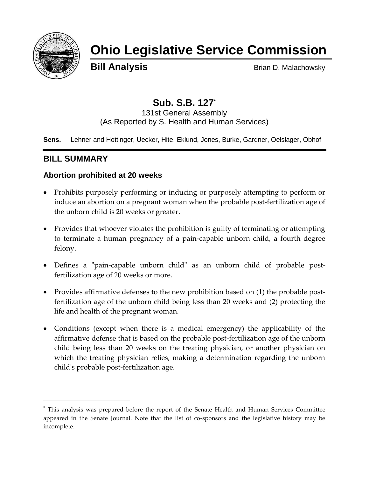

# **Ohio Legislative Service Commission**

**Bill Analysis** Brian D. Malachowsky

## **Sub. S.B. 127\***

131st General Assembly (As Reported by S. Health and Human Services)

**Sens.** Lehner and Hottinger, Uecker, Hite, Eklund, Jones, Burke, Gardner, Oelslager, Obhof

## **BILL SUMMARY**

 $\overline{a}$ 

## **Abortion prohibited at 20 weeks**

- Prohibits purposely performing or inducing or purposely attempting to perform or induce an abortion on a pregnant woman when the probable post-fertilization age of the unborn child is 20 weeks or greater.
- Provides that whoever violates the prohibition is guilty of terminating or attempting to terminate a human pregnancy of a pain-capable unborn child, a fourth degree felony.
- Defines a "pain-capable unborn child" as an unborn child of probable postfertilization age of 20 weeks or more.
- Provides affirmative defenses to the new prohibition based on (1) the probable postfertilization age of the unborn child being less than 20 weeks and (2) protecting the life and health of the pregnant woman.
- Conditions (except when there is a medical emergency) the applicability of the affirmative defense that is based on the probable post-fertilization age of the unborn child being less than 20 weeks on the treating physician, or another physician on which the treating physician relies, making a determination regarding the unborn child's probable post-fertilization age.

<sup>\*</sup> This analysis was prepared before the report of the Senate Health and Human Services Committee appeared in the Senate Journal. Note that the list of co-sponsors and the legislative history may be incomplete.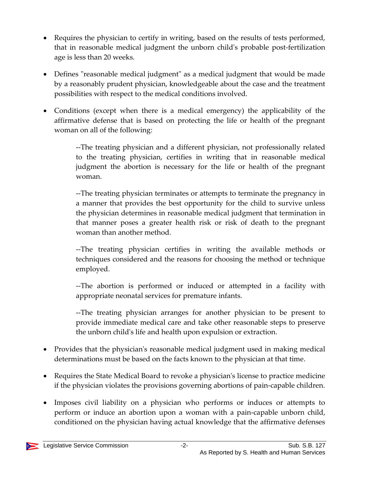- Requires the physician to certify in writing, based on the results of tests performed, that in reasonable medical judgment the unborn child's probable post-fertilization age is less than 20 weeks.
- Defines "reasonable medical judgment" as a medical judgment that would be made by a reasonably prudent physician, knowledgeable about the case and the treatment possibilities with respect to the medical conditions involved.
- Conditions (except when there is a medical emergency) the applicability of the affirmative defense that is based on protecting the life or health of the pregnant woman on all of the following:

--The treating physician and a different physician, not professionally related to the treating physician, certifies in writing that in reasonable medical judgment the abortion is necessary for the life or health of the pregnant woman.

--The treating physician terminates or attempts to terminate the pregnancy in a manner that provides the best opportunity for the child to survive unless the physician determines in reasonable medical judgment that termination in that manner poses a greater health risk or risk of death to the pregnant woman than another method.

--The treating physician certifies in writing the available methods or techniques considered and the reasons for choosing the method or technique employed.

--The abortion is performed or induced or attempted in a facility with appropriate neonatal services for premature infants.

--The treating physician arranges for another physician to be present to provide immediate medical care and take other reasonable steps to preserve the unborn child's life and health upon expulsion or extraction.

- Provides that the physician's reasonable medical judgment used in making medical determinations must be based on the facts known to the physician at that time.
- Requires the State Medical Board to revoke a physician's license to practice medicine if the physician violates the provisions governing abortions of pain-capable children.
- Imposes civil liability on a physician who performs or induces or attempts to perform or induce an abortion upon a woman with a pain-capable unborn child, conditioned on the physician having actual knowledge that the affirmative defenses

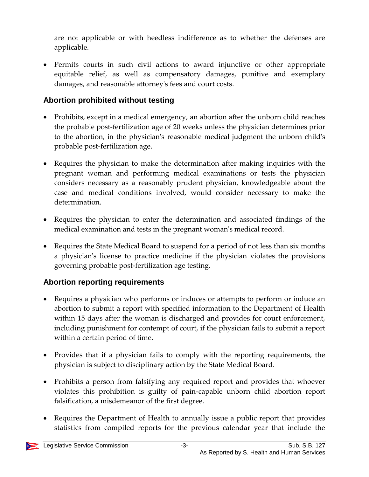are not applicable or with heedless indifference as to whether the defenses are applicable.

 Permits courts in such civil actions to award injunctive or other appropriate equitable relief, as well as compensatory damages, punitive and exemplary damages, and reasonable attorney's fees and court costs.

### **Abortion prohibited without testing**

- Prohibits, except in a medical emergency, an abortion after the unborn child reaches the probable post-fertilization age of 20 weeks unless the physician determines prior to the abortion, in the physician's reasonable medical judgment the unborn child's probable post-fertilization age.
- Requires the physician to make the determination after making inquiries with the pregnant woman and performing medical examinations or tests the physician considers necessary as a reasonably prudent physician, knowledgeable about the case and medical conditions involved, would consider necessary to make the determination.
- Requires the physician to enter the determination and associated findings of the medical examination and tests in the pregnant woman's medical record.
- Requires the State Medical Board to suspend for a period of not less than six months a physician's license to practice medicine if the physician violates the provisions governing probable post-fertilization age testing.

## **Abortion reporting requirements**

- Requires a physician who performs or induces or attempts to perform or induce an abortion to submit a report with specified information to the Department of Health within 15 days after the woman is discharged and provides for court enforcement, including punishment for contempt of court, if the physician fails to submit a report within a certain period of time.
- Provides that if a physician fails to comply with the reporting requirements, the physician is subject to disciplinary action by the State Medical Board.
- Prohibits a person from falsifying any required report and provides that whoever violates this prohibition is guilty of pain-capable unborn child abortion report falsification, a misdemeanor of the first degree.
- Requires the Department of Health to annually issue a public report that provides statistics from compiled reports for the previous calendar year that include the

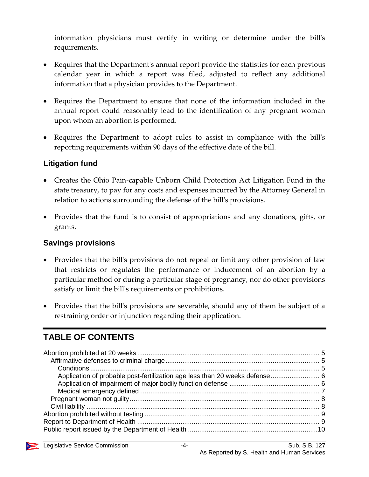information physicians must certify in writing or determine under the bill's requirements.

- Requires that the Department's annual report provide the statistics for each previous calendar year in which a report was filed, adjusted to reflect any additional information that a physician provides to the Department.
- Requires the Department to ensure that none of the information included in the annual report could reasonably lead to the identification of any pregnant woman upon whom an abortion is performed.
- Requires the Department to adopt rules to assist in compliance with the bill's reporting requirements within 90 days of the effective date of the bill.

#### **Litigation fund**

- Creates the Ohio Pain-capable Unborn Child Protection Act Litigation Fund in the state treasury, to pay for any costs and expenses incurred by the Attorney General in relation to actions surrounding the defense of the bill's provisions.
- Provides that the fund is to consist of appropriations and any donations, gifts, or grants.

#### **Savings provisions**

- Provides that the bill's provisions do not repeal or limit any other provision of law that restricts or regulates the performance or inducement of an abortion by a particular method or during a particular stage of pregnancy, nor do other provisions satisfy or limit the bill's requirements or prohibitions.
- Provides that the bill's provisions are severable, should any of them be subject of a restraining order or injunction regarding their application.

## **TABLE OF CONTENTS**

| Application of probable post-fertilization age less than 20 weeks defense 6 |  |
|-----------------------------------------------------------------------------|--|
|                                                                             |  |
|                                                                             |  |
|                                                                             |  |
|                                                                             |  |
|                                                                             |  |
|                                                                             |  |
|                                                                             |  |

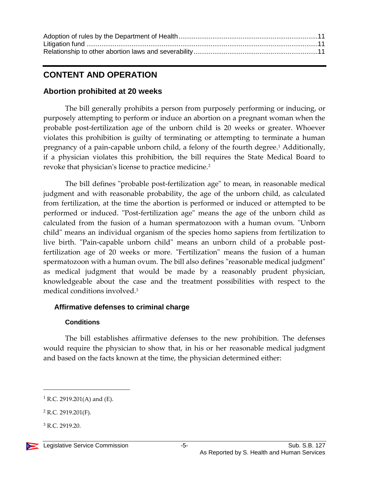## **CONTENT AND OPERATION**

#### <span id="page-4-0"></span>**Abortion prohibited at 20 weeks**

The bill generally prohibits a person from purposely performing or inducing, or purposely attempting to perform or induce an abortion on a pregnant woman when the probable post-fertilization age of the unborn child is 20 weeks or greater. Whoever violates this prohibition is guilty of terminating or attempting to terminate a human pregnancy of a pain-capable unborn child, a felony of the fourth degree.<sup>1</sup> Additionally, if a physician violates this prohibition, the bill requires the State Medical Board to revoke that physician's license to practice medicine.<sup>2</sup>

The bill defines "probable post-fertilization age" to mean, in reasonable medical judgment and with reasonable probability, the age of the unborn child, as calculated from fertilization, at the time the abortion is performed or induced or attempted to be performed or induced. "Post-fertilization age" means the age of the unborn child as calculated from the fusion of a human spermatozoon with a human ovum. "Unborn child" means an individual organism of the species homo sapiens from fertilization to live birth. "Pain-capable unborn child" means an unborn child of a probable postfertilization age of 20 weeks or more. "Fertilization" means the fusion of a human spermatozoon with a human ovum. The bill also defines "reasonable medical judgment" as medical judgment that would be made by a reasonably prudent physician, knowledgeable about the case and the treatment possibilities with respect to the medical conditions involved.<sup>3</sup>

#### <span id="page-4-1"></span>**Affirmative defenses to criminal charge**

#### **Conditions**

<span id="page-4-2"></span>The bill establishes affirmative defenses to the new prohibition. The defenses would require the physician to show that, in his or her reasonable medical judgment and based on the facts known at the time, the physician determined either:

<sup>3</sup> R.C. 2919.20.

 $1$  R.C. 2919.201(A) and (E).

 $2$  R.C. 2919.201(F).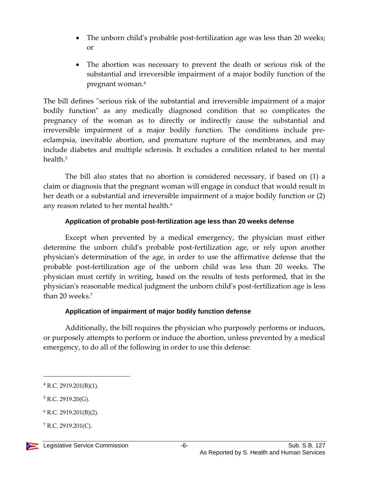- The unborn child's probable post-fertilization age was less than 20 weeks; or
- The abortion was necessary to prevent the death or serious risk of the substantial and irreversible impairment of a major bodily function of the pregnant woman.<sup>4</sup>

The bill defines "serious risk of the substantial and irreversible impairment of a major bodily function" as any medically diagnosed condition that so complicates the pregnancy of the woman as to directly or indirectly cause the substantial and irreversible impairment of a major bodily function. The conditions include preeclampsia, inevitable abortion, and premature rupture of the membranes, and may include diabetes and multiple sclerosis. It excludes a condition related to her mental health.<sup>5</sup>

The bill also states that no abortion is considered necessary, if based on (1) a claim or diagnosis that the pregnant woman will engage in conduct that would result in her death or a substantial and irreversible impairment of a major bodily function or (2) any reason related to her mental health.<sup>6</sup>

#### **Application of probable post-fertilization age less than 20 weeks defense**

<span id="page-5-0"></span>Except when prevented by a medical emergency, the physician must either determine the unborn child's probable post-fertilization age, or rely upon another physician's determination of the age, in order to use the affirmative defense that the probable post-fertilization age of the unborn child was less than 20 weeks. The physician must certify in writing, based on the results of tests performed, that in the physician's reasonable medical judgment the unborn child's post-fertilization age is less than 20 weeks.<sup>7</sup>

#### **Application of impairment of major bodily function defense**

<span id="page-5-1"></span>Additionally, the bill requires the physician who purposely performs or induces, or purposely attempts to perform or induce the abortion, unless prevented by a medical emergency, to do all of the following in order to use this defense:

<sup>4</sup> R.C. 2919.201(B)(1).

 $5$  R.C. 2919.20(G).

 $6$  R.C. 2919.201(B)(2).

 $7$  R.C. 2919.201(C).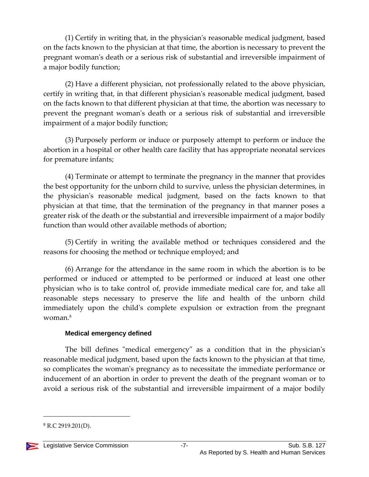(1) Certify in writing that, in the physician's reasonable medical judgment, based on the facts known to the physician at that time, the abortion is necessary to prevent the pregnant woman's death or a serious risk of substantial and irreversible impairment of a major bodily function;

(2) Have a different physician, not professionally related to the above physician, certify in writing that, in that different physician's reasonable medical judgment, based on the facts known to that different physician at that time, the abortion was necessary to prevent the pregnant woman's death or a serious risk of substantial and irreversible impairment of a major bodily function;

(3) Purposely perform or induce or purposely attempt to perform or induce the abortion in a hospital or other health care facility that has appropriate neonatal services for premature infants;

(4) Terminate or attempt to terminate the pregnancy in the manner that provides the best opportunity for the unborn child to survive, unless the physician determines, in the physician's reasonable medical judgment, based on the facts known to that physician at that time, that the termination of the pregnancy in that manner poses a greater risk of the death or the substantial and irreversible impairment of a major bodily function than would other available methods of abortion;

(5) Certify in writing the available method or techniques considered and the reasons for choosing the method or technique employed; and

(6) Arrange for the attendance in the same room in which the abortion is to be performed or induced or attempted to be performed or induced at least one other physician who is to take control of, provide immediate medical care for, and take all reasonable steps necessary to preserve the life and health of the unborn child immediately upon the child's complete expulsion or extraction from the pregnant woman.<sup>8</sup>

#### **Medical emergency defined**

<span id="page-6-0"></span>The bill defines "medical emergency" as a condition that in the physician's reasonable medical judgment, based upon the facts known to the physician at that time, so complicates the woman's pregnancy as to necessitate the immediate performance or inducement of an abortion in order to prevent the death of the pregnant woman or to avoid a serious risk of the substantial and irreversible impairment of a major bodily

 $8$  R.C 2919.201(D).

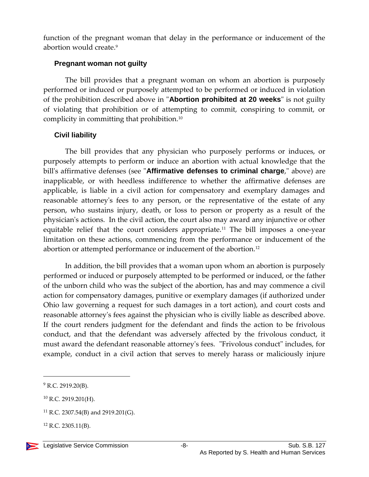function of the pregnant woman that delay in the performance or inducement of the abortion would create.<sup>9</sup>

#### <span id="page-7-0"></span>**Pregnant woman not guilty**

The bill provides that a pregnant woman on whom an abortion is purposely performed or induced or purposely attempted to be performed or induced in violation of the prohibition described above in "**Abortion prohibited at 20 weeks**" is not guilty of violating that prohibition or of attempting to commit, conspiring to commit, or complicity in committing that prohibition.<sup>10</sup>

#### <span id="page-7-1"></span>**Civil liability**

The bill provides that any physician who purposely performs or induces, or purposely attempts to perform or induce an abortion with actual knowledge that the bill's affirmative defenses (see "**Affirmative defenses to criminal charge**," above) are inapplicable, or with heedless indifference to whether the affirmative defenses are applicable, is liable in a civil action for compensatory and exemplary damages and reasonable attorney's fees to any person, or the representative of the estate of any person, who sustains injury, death, or loss to person or property as a result of the physician's actions. In the civil action, the court also may award any injunctive or other equitable relief that the court considers appropriate.<sup>11</sup> The bill imposes a one-year limitation on these actions, commencing from the performance or inducement of the abortion or attempted performance or inducement of the abortion.<sup>12</sup>

In addition, the bill provides that a woman upon whom an abortion is purposely performed or induced or purposely attempted to be performed or induced, or the father of the unborn child who was the subject of the abortion, has and may commence a civil action for compensatory damages, punitive or exemplary damages (if authorized under Ohio law governing a request for such damages in a tort action), and court costs and reasonable attorney's fees against the physician who is civilly liable as described above. If the court renders judgment for the defendant and finds the action to be frivolous conduct, and that the defendant was adversely affected by the frivolous conduct, it must award the defendant reasonable attorney's fees. "Frivolous conduct" includes, for example, conduct in a civil action that serves to merely harass or maliciously injure

 $9$  R.C. 2919.20(B).

<sup>10</sup> R.C. 2919.201(H).

<sup>11</sup> R.C. 2307.54(B) and 2919.201(G).

 $12$  R.C. 2305.11(B).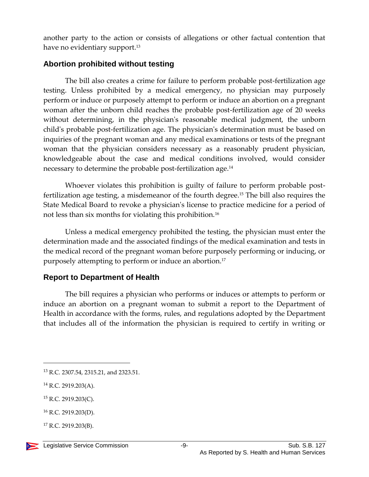another party to the action or consists of allegations or other factual contention that have no evidentiary support.<sup>13</sup>

#### <span id="page-8-0"></span>**Abortion prohibited without testing**

The bill also creates a crime for failure to perform probable post-fertilization age testing. Unless prohibited by a medical emergency, no physician may purposely perform or induce or purposely attempt to perform or induce an abortion on a pregnant woman after the unborn child reaches the probable post-fertilization age of 20 weeks without determining, in the physician's reasonable medical judgment, the unborn child's probable post-fertilization age. The physician's determination must be based on inquiries of the pregnant woman and any medical examinations or tests of the pregnant woman that the physician considers necessary as a reasonably prudent physician, knowledgeable about the case and medical conditions involved, would consider necessary to determine the probable post-fertilization age.<sup>14</sup>

Whoever violates this prohibition is guilty of failure to perform probable postfertilization age testing, a misdemeanor of the fourth degree.<sup>15</sup> The bill also requires the State Medical Board to revoke a physician's license to practice medicine for a period of not less than six months for violating this prohibition.<sup>16</sup>

Unless a medical emergency prohibited the testing, the physician must enter the determination made and the associated findings of the medical examination and tests in the medical record of the pregnant woman before purposely performing or inducing, or purposely attempting to perform or induce an abortion.<sup>17</sup>

#### <span id="page-8-1"></span>**Report to Department of Health**

The bill requires a physician who performs or induces or attempts to perform or induce an abortion on a pregnant woman to submit a report to the Department of Health in accordance with the forms, rules, and regulations adopted by the Department that includes all of the information the physician is required to certify in writing or

<sup>14</sup> R.C. 2919.203(A).

<sup>15</sup> R.C. 2919.203(C).

 $17$  R.C. 2919.203(B).



<sup>13</sup> R.C. 2307.54, 2315.21, and 2323.51.

<sup>16</sup> R.C. 2919.203(D).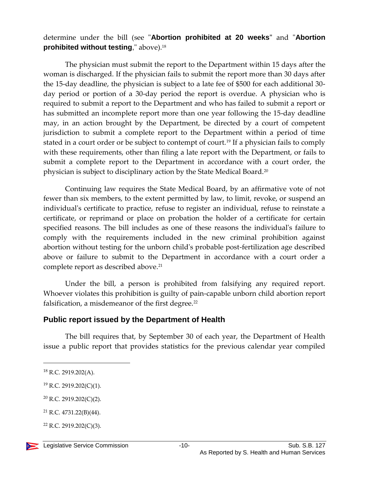#### determine under the bill (see "**Abortion prohibited at 20 weeks"** and "**Abortion prohibited without testing**," above).<sup>18</sup>

The physician must submit the report to the Department within 15 days after the woman is discharged. If the physician fails to submit the report more than 30 days after the 15-day deadline, the physician is subject to a late fee of \$500 for each additional 30 day period or portion of a 30-day period the report is overdue. A physician who is required to submit a report to the Department and who has failed to submit a report or has submitted an incomplete report more than one year following the 15-day deadline may, in an action brought by the Department, be directed by a court of competent jurisdiction to submit a complete report to the Department within a period of time stated in a court order or be subject to contempt of court.<sup>19</sup> If a physician fails to comply with these requirements, other than filing a late report with the Department, or fails to submit a complete report to the Department in accordance with a court order, the physician is subject to disciplinary action by the State Medical Board.<sup>20</sup>

Continuing law requires the State Medical Board, by an affirmative vote of not fewer than six members, to the extent permitted by law, to limit, revoke, or suspend an individual's certificate to practice, refuse to register an individual, refuse to reinstate a certificate, or reprimand or place on probation the holder of a certificate for certain specified reasons. The bill includes as one of these reasons the individual's failure to comply with the requirements included in the new criminal prohibition against abortion without testing for the unborn child's probable post-fertilization age described above or failure to submit to the Department in accordance with a court order a complete report as described above.<sup>21</sup>

Under the bill, a person is prohibited from falsifying any required report. Whoever violates this prohibition is guilty of pain-capable unborn child abortion report falsification, a misdemeanor of the first degree.<sup>22</sup>

#### <span id="page-9-0"></span>**Public report issued by the Department of Health**

The bill requires that, by September 30 of each year, the Department of Health issue a public report that provides statistics for the previous calendar year compiled

 $22$  R.C. 2919.202(C)(3).



 $18$  R.C. 2919.202(A).

<sup>19</sup> R.C. 2919.202(C)(1).

<sup>20</sup> R.C. 2919.202(C)(2).

<sup>21</sup> R.C. 4731.22(B)(44).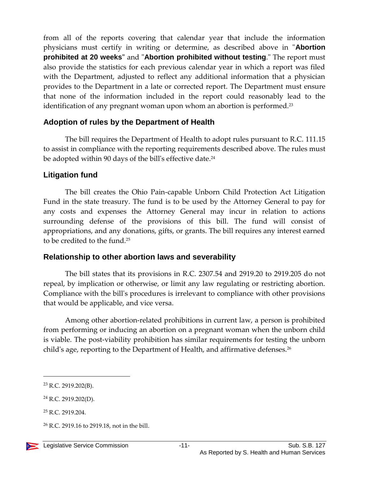from all of the reports covering that calendar year that include the information physicians must certify in writing or determine, as described above in "**Abortion prohibited at 20 weeks"** and "**Abortion prohibited without testing**." The report must also provide the statistics for each previous calendar year in which a report was filed with the Department, adjusted to reflect any additional information that a physician provides to the Department in a late or corrected report. The Department must ensure that none of the information included in the report could reasonably lead to the identification of any pregnant woman upon whom an abortion is performed.<sup>23</sup>

#### <span id="page-10-0"></span>**Adoption of rules by the Department of Health**

The bill requires the Department of Health to adopt rules pursuant to R.C. 111.15 to assist in compliance with the reporting requirements described above. The rules must be adopted within 90 days of the bill's effective date.<sup>24</sup>

#### <span id="page-10-1"></span>**Litigation fund**

The bill creates the Ohio Pain-capable Unborn Child Protection Act Litigation Fund in the state treasury. The fund is to be used by the Attorney General to pay for any costs and expenses the Attorney General may incur in relation to actions surrounding defense of the provisions of this bill. The fund will consist of appropriations, and any donations, gifts, or grants. The bill requires any interest earned to be credited to the fund.<sup>25</sup>

#### <span id="page-10-2"></span>**Relationship to other abortion laws and severability**

The bill states that its provisions in R.C. 2307.54 and 2919.20 to 2919.205 do not repeal, by implication or otherwise, or limit any law regulating or restricting abortion. Compliance with the bill's procedures is irrelevant to compliance with other provisions that would be applicable, and vice versa.

Among other abortion-related prohibitions in current law, a person is prohibited from performing or inducing an abortion on a pregnant woman when the unborn child is viable. The post-viability prohibition has similar requirements for testing the unborn child's age, reporting to the Department of Health, and affirmative defenses.<sup>26</sup>

<sup>23</sup> R.C. 2919.202(B).

<sup>24</sup> R.C. 2919.202(D).

<sup>25</sup> R.C. 2919.204.

<sup>26</sup> R.C. 2919.16 to 2919.18, not in the bill.